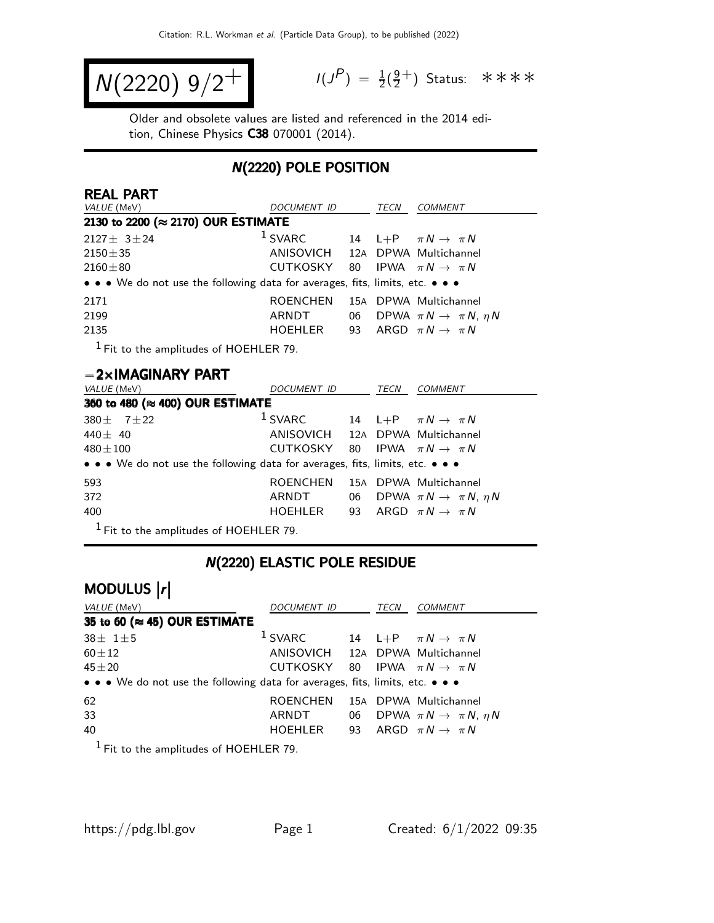$$
N(2220) 9/2^+
$$

$$
I(J^{P}) = \frac{1}{2}(\frac{9}{2}^{+})
$$
 Status:  $\ast \ast \ast \ast$ 

Older and obsolete values are listed and referenced in the 2014 edition, Chinese Physics C38 070001 (2014).

### N(2220) POLE POSITION

| <b>REAL PART</b><br><i>VALUE</i> (MeV)                                        | DOCUMENT ID                                |    | TECN | COMMENT                                   |
|-------------------------------------------------------------------------------|--------------------------------------------|----|------|-------------------------------------------|
| 2130 to 2200 (≈ 2170) OUR ESTIMATE                                            |                                            |    |      |                                           |
| $2127 \pm 3 \pm 24$                                                           | $1$ SVARC                                  |    |      | 14 L+P $\pi N \rightarrow \pi N$          |
| $2150 \pm 35$                                                                 | ANISOVICH 12A DPWA Multichannel            |    |      |                                           |
| $2160 \pm 80$                                                                 | CUTKOSKY 80 IPWA $\pi N \rightarrow \pi N$ |    |      |                                           |
| • • • We do not use the following data for averages, fits, limits, etc. • • • |                                            |    |      |                                           |
| 2171                                                                          | <b>ROENCHEN</b>                            |    |      | 15A DPWA Multichannel                     |
| 2199                                                                          | ARNDT                                      | 06 |      | DPWA $\pi N \rightarrow \pi N$ , $\eta N$ |
| 2135                                                                          | HOEHLER                                    | 93 |      | ARGD $\pi N \rightarrow \pi N$            |
|                                                                               |                                            |    |      |                                           |

 $<sup>1</sup>$  Fit to the amplitudes of HOEHLER 79.</sup>

#### −2×IMAGINARY PART

| <i>VALUE</i> (MeV)                                                            | DOCUMENT ID                                |    | TECN | <b>COMMENT</b>                            |  |  |
|-------------------------------------------------------------------------------|--------------------------------------------|----|------|-------------------------------------------|--|--|
| 360 to 480 (≈ 400) OUR ESTIMATE                                               |                                            |    |      |                                           |  |  |
| 380 ± 7 ± 22                                                                  | $1$ SVARC                                  |    |      | 14 L+P $\pi N \rightarrow \pi N$          |  |  |
| 440 $\pm$ 40                                                                  | ANISOVICH 12A DPWA Multichannel            |    |      |                                           |  |  |
| $480 \pm 100$                                                                 | CUTKOSKY 80 IPWA $\pi N \rightarrow \pi N$ |    |      |                                           |  |  |
| • • • We do not use the following data for averages, fits, limits, etc. • • • |                                            |    |      |                                           |  |  |
| 593                                                                           | <b>ROENCHEN</b>                            |    |      | 15A DPWA Multichannel                     |  |  |
| 372                                                                           | ARNDT                                      | 06 |      | DPWA $\pi N \rightarrow \pi N$ , $\eta N$ |  |  |
| 400                                                                           | HOEHLER                                    |    |      | 93 ARGD $\pi N \rightarrow \pi N$         |  |  |
| $1$ Fit to the amplitudes of HOEHLER 79.                                      |                                            |    |      |                                           |  |  |

### N(2220) ELASTIC POLE RESIDUE

# MODULUS  $\vert r \vert$

| <i>VALUE</i> (MeV)                                                            | DOCUMENT ID                                |  |  | <b>COMMENT</b>                               |  |  |
|-------------------------------------------------------------------------------|--------------------------------------------|--|--|----------------------------------------------|--|--|
| 35 to 60 ( $\approx$ 45) OUR ESTIMATE                                         |                                            |  |  |                                              |  |  |
| $38 \pm 1 \pm 5$                                                              | $1$ SVARC                                  |  |  | 14 L+P $\pi N \rightarrow \pi N$             |  |  |
| $60 \pm 12$                                                                   | ANISOVICH 12A DPWA Multichannel            |  |  |                                              |  |  |
| $45 + 20$                                                                     | CUTKOSKY 80 IPWA $\pi N \rightarrow \pi N$ |  |  |                                              |  |  |
| • • • We do not use the following data for averages, fits, limits, etc. • • • |                                            |  |  |                                              |  |  |
| 62                                                                            | <b>ROENCHEN</b>                            |  |  | 15A DPWA Multichannel                        |  |  |
| 33                                                                            | ARNDT                                      |  |  | 06 DPWA $\pi N \rightarrow \pi N$ , $\eta N$ |  |  |
| 40                                                                            | HOEHLER 93 ARGD $\pi N \rightarrow \pi N$  |  |  |                                              |  |  |
|                                                                               |                                            |  |  |                                              |  |  |

 $<sup>1</sup>$  Fit to the amplitudes of HOEHLER 79.</sup>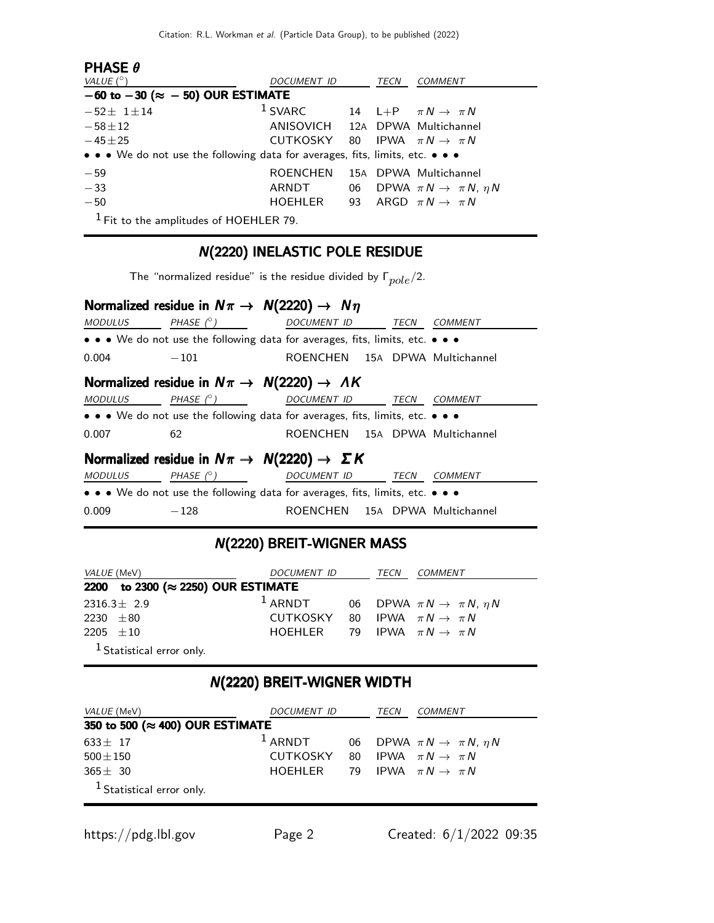| <b>PHASE <math>\theta</math></b>                                              |                                            |      |                                              |
|-------------------------------------------------------------------------------|--------------------------------------------|------|----------------------------------------------|
| VALUE $(^\circ)$                                                              | DOCUMENT ID                                | TECN | <i>COMMENT</i>                               |
| $-60$ to $-30$ ( $\approx -50$ ) OUR ESTIMATE                                 |                                            |      |                                              |
| $-52 \pm 1 \pm 14$                                                            | $1$ SVARC                                  |      | 14 L+P $\pi N \rightarrow \pi N$             |
| $-58 + 12$                                                                    | ANISOVICH 12A DPWA Multichannel            |      |                                              |
| $-45 \pm 25$                                                                  | CUTKOSKY 80 IPWA $\pi N \rightarrow \pi N$ |      |                                              |
| • • • We do not use the following data for averages, fits, limits, etc. • • • |                                            |      |                                              |
| $-59$                                                                         | <b>ROENCHEN</b>                            |      | 15A DPWA Multichannel                        |
| $-33$                                                                         | ARNDT                                      |      | 06 DPWA $\pi N \rightarrow \pi N$ , $\eta N$ |
| $-50$                                                                         | HOEHLER                                    |      | 93 ARGD $\pi N \rightarrow \pi N$            |
| $1$ Fit to the amplitudes of HOEHLER 79.                                      |                                            |      |                                              |

## N(2220) INELASTIC POLE RESIDUE

The "normalized residue" is the residue divided by  $\Gamma_{pole}/2$ .

|                                                                               | Normalized residue in $N\pi \rightarrow N(2220) \rightarrow N\eta$            |                                |      |                       |  |  |
|-------------------------------------------------------------------------------|-------------------------------------------------------------------------------|--------------------------------|------|-----------------------|--|--|
| <b>MODULUS</b>                                                                | PHASE $(^\circ)$                                                              | <b>DOCUMENT ID</b>             | TECN | <b>COMMENT</b>        |  |  |
|                                                                               | • • • We do not use the following data for averages, fits, limits, etc. • • • |                                |      |                       |  |  |
| 0.004                                                                         | $-101$                                                                        | ROENCHEN 15A DPWA Multichannel |      |                       |  |  |
|                                                                               | Normalized residue in $N\pi \rightarrow N(2220) \rightarrow AK$               |                                |      |                       |  |  |
| MODULUS                                                                       | PHASE $(^\circ)$                                                              | DOCUMENT ID                    | TECN | COMMENT               |  |  |
|                                                                               | • • • We do not use the following data for averages, fits, limits, etc. • • • |                                |      |                       |  |  |
| 0.007                                                                         | 62                                                                            | ROENCHEN 15A DPWA Multichannel |      |                       |  |  |
| Normalized residue in $N\pi \rightarrow N(2220) \rightarrow \Sigma K$         |                                                                               |                                |      |                       |  |  |
| <b>MODULUS</b>                                                                | PHASE $(^\circ)$                                                              | DOCUMENT ID                    | TECN | COMMENT               |  |  |
| • • • We do not use the following data for averages, fits, limits, etc. • • • |                                                                               |                                |      |                       |  |  |
| 0.009                                                                         | $-128$                                                                        | <b>ROFNCHEN</b>                |      | 15A DPWA Multichannel |  |  |

### N(2220) BREIT-WIGNER MASS

| <i>VALUE</i> (MeV)                 | DOCUMENT ID                                |  | TECN | <i>COMMENT</i>                               |  |  |
|------------------------------------|--------------------------------------------|--|------|----------------------------------------------|--|--|
| 2200 to 2300 (≈ 2250) OUR ESTIMATE |                                            |  |      |                                              |  |  |
| $2316.3 \pm 2.9$                   | $1$ ARNDT                                  |  |      | 06 DPWA $\pi N \rightarrow \pi N$ , $\eta N$ |  |  |
| 2230 $\pm 80$                      | CUTKOSKY 80 IPWA $\pi N \rightarrow \pi N$ |  |      |                                              |  |  |
| 2205 $\pm 10$                      | HOEHLER 79 IPWA $\pi N \rightarrow \pi N$  |  |      |                                              |  |  |
| $1$ Statistical error only.        |                                            |  |      |                                              |  |  |

## N(2220) BREIT-WIGNER WIDTH

| <i>VALUE</i> (MeV)              | DOCUMENT ID                                |  | TECN | <i>COMMENT</i>                               |
|---------------------------------|--------------------------------------------|--|------|----------------------------------------------|
| 350 to 500 (≈ 400) OUR ESTIMATE |                                            |  |      |                                              |
| $633 \pm 17$                    | $1$ ARNDT                                  |  |      | 06 DPWA $\pi N \rightarrow \pi N$ , $\eta N$ |
| $500 \pm 150$                   | CUTKOSKY 80 IPWA $\pi N \rightarrow \pi N$ |  |      |                                              |
| $365 \pm 30$                    | HOEHLER                                    |  |      | 79 IPWA $\pi N \rightarrow \pi N$            |
| $1$ Statistical error only.     |                                            |  |      |                                              |